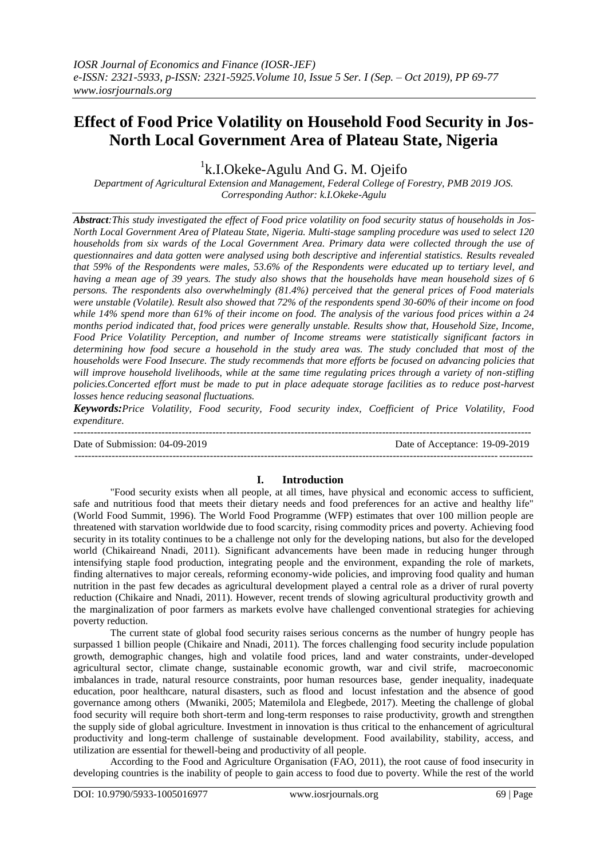# **Effect of Food Price Volatility on Household Food Security in Jos-North Local Government Area of Plateau State, Nigeria**

<sup>1</sup>k.I.Okeke-Agulu And G. M. Ojeifo

*Department of Agricultural Extension and Management, Federal College of Forestry, PMB 2019 JOS. Corresponding Author: k.I.Okeke-Agulu*

*Abstract:This study investigated the effect of Food price volatility on food security status of households in Jos-North Local Government Area of Plateau State, Nigeria. Multi-stage sampling procedure was used to select 120 households from six wards of the Local Government Area. Primary data were collected through the use of questionnaires and data gotten were analysed using both descriptive and inferential statistics. Results revealed that 59% of the Respondents were males, 53.6% of the Respondents were educated up to tertiary level, and having a mean age of 39 years. The study also shows that the households have mean household sizes of 6 persons. The respondents also overwhelmingly (81.4%) perceived that the general prices of Food materials were unstable (Volatile). Result also showed that 72% of the respondents spend 30-60% of their income on food while 14% spend more than 61% of their income on food. The analysis of the various food prices within a 24 months period indicated that, food prices were generally unstable. Results show that, Household Size, Income, Food Price Volatility Perception, and number of Income streams were statistically significant factors in determining how food secure a household in the study area was. The study concluded that most of the households were Food Insecure. The study recommends that more efforts be focused on advancing policies that will improve household livelihoods, while at the same time regulating prices through a variety of non-stifling policies.Concerted effort must be made to put in place adequate storage facilities as to reduce post-harvest losses hence reducing seasonal fluctuations.*

*Keywords:Price Volatility, Food security, Food security index, Coefficient of Price Volatility, Food expenditure.*

--------------------------------------------------------------------------------------------------------------------------------------- Date of Submission: 04-09-2019 Date of Acceptance: 19-09-2019 ---------------------------------------------------------------------------------------------------------------------------------------

# **I. Introduction**

"Food security exists when all people, at all times, have physical and economic access to sufficient, safe and nutritious food that meets their dietary needs and food preferences for an active and healthy life" (World Food Summit, 1996). The World Food Programme (WFP) estimates that over 100 million people are threatened with starvation worldwide due to food scarcity, rising commodity prices and poverty. Achieving food security in its totality continues to be a challenge not only for the developing nations, but also for the developed world (Chikaireand Nnadi, 2011). Significant advancements have been made in reducing hunger through intensifying staple food production, integrating people and the environment, expanding the role of markets, finding alternatives to major cereals, reforming economy-wide policies, and improving food quality and human nutrition in the past few decades as agricultural development played a central role as a driver of rural poverty reduction (Chikaire and Nnadi, 2011). However, recent trends of slowing agricultural productivity growth and the marginalization of poor farmers as markets evolve have challenged conventional strategies for achieving poverty reduction.

The current state of global food security raises serious concerns as the number of hungry people has surpassed 1 billion people (Chikaire and Nnadi, 2011). The forces challenging food security include population growth, demographic changes, high and volatile food prices, land and water constraints, under-developed agricultural sector, climate change, sustainable economic growth, war and civil strife, macroeconomic imbalances in trade, natural resource constraints, poor human resources base, gender inequality, inadequate education, poor healthcare, natural disasters, such as flood and locust infestation and the absence of good governance among others (Mwaniki, 2005; Matemilola and Elegbede, 2017). Meeting the challenge of global food security will require both short-term and long-term responses to raise productivity, growth and strengthen the supply side of global agriculture. Investment in innovation is thus critical to the enhancement of agricultural productivity and long-term challenge of sustainable development. Food availability, stability, access, and utilization are essential for thewell-being and productivity of all people.

According to the Food and Agriculture Organisation (FAO, 2011), the root cause of food insecurity in developing countries is the inability of people to gain access to food due to poverty. While the rest of the world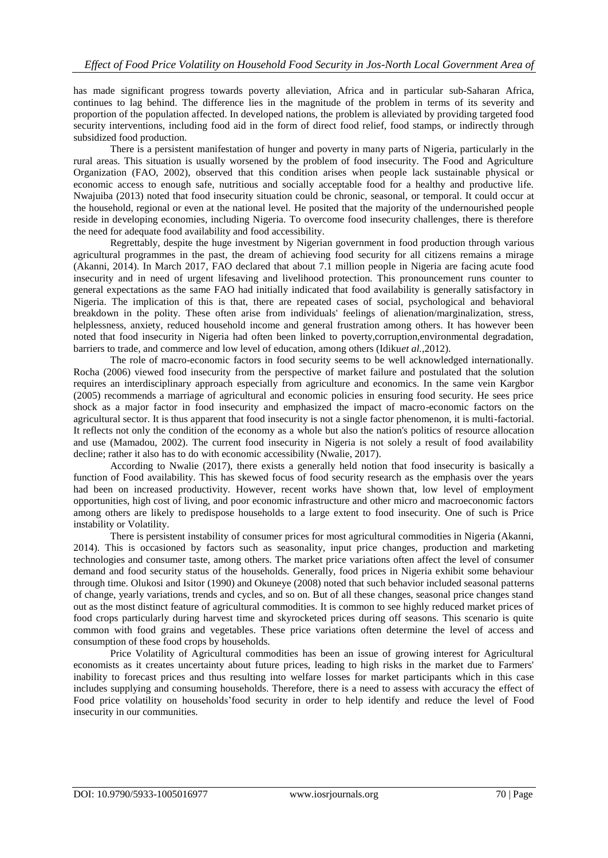has made significant progress towards poverty alleviation, Africa and in particular sub-Saharan Africa, continues to lag behind. The difference lies in the magnitude of the problem in terms of its severity and proportion of the population affected. In developed nations, the problem is alleviated by providing targeted food security interventions, including food aid in the form of direct food relief, food stamps, or indirectly through subsidized food production.

There is a persistent manifestation of hunger and poverty in many parts of Nigeria, particularly in the rural areas. This situation is usually worsened by the problem of food insecurity. The Food and Agriculture Organization (FAO, 2002), observed that this condition arises when people lack sustainable physical or economic access to enough safe, nutritious and socially acceptable food for a healthy and productive life. Nwajuiba (2013) noted that food insecurity situation could be chronic, seasonal, or temporal. It could occur at the household, regional or even at the national level. He posited that the majority of the undernourished people reside in developing economies, including Nigeria. To overcome food insecurity challenges, there is therefore the need for adequate food availability and food accessibility.

Regrettably, despite the huge investment by Nigerian government in food production through various agricultural programmes in the past, the dream of achieving food security for all citizens remains a mirage (Akanni, 2014). In March 2017, FAO declared that about 7.1 million people in Nigeria are facing acute food insecurity and in need of urgent lifesaving and livelihood protection. This pronouncement runs counter to general expectations as the same FAO had initially indicated that food availability is generally satisfactory in Nigeria. The implication of this is that, there are repeated cases of social, psychological and behavioral breakdown in the polity. These often arise from individuals' feelings of alienation/marginalization, stress, helplessness, anxiety, reduced household income and general frustration among others. It has however been noted that food insecurity in Nigeria had often been linked to poverty,corruption,environmental degradation, barriers to trade, and commerce and low level of education, among others (Idiku*et al.*,2012).

The role of macro-economic factors in food security seems to be well acknowledged internationally. Rocha (2006) viewed food insecurity from the perspective of market failure and postulated that the solution requires an interdisciplinary approach especially from agriculture and economics. In the same vein Kargbor (2005) recommends a marriage of agricultural and economic policies in ensuring food security. He sees price shock as a major factor in food insecurity and emphasized the impact of macro-economic factors on the agricultural sector. It is thus apparent that food insecurity is not a single factor phenomenon, it is multi-factorial. It reflects not only the condition of the economy as a whole but also the nation's politics of resource allocation and use (Mamadou, 2002). The current food insecurity in Nigeria is not solely a result of food availability decline; rather it also has to do with economic accessibility (Nwalie, 2017).

According to Nwalie (2017), there exists a generally held notion that food insecurity is basically a function of Food availability. This has skewed focus of food security research as the emphasis over the years had been on increased productivity. However, recent works have shown that, low level of employment opportunities, high cost of living, and poor economic infrastructure and other micro and macroeconomic factors among others are likely to predispose households to a large extent to food insecurity. One of such is Price instability or Volatility.

There is persistent instability of consumer prices for most agricultural commodities in Nigeria (Akanni, 2014). This is occasioned by factors such as seasonality, input price changes, production and marketing technologies and consumer taste, among others. The market price variations often affect the level of consumer demand and food security status of the households. Generally, food prices in Nigeria exhibit some behaviour through time. Olukosi and Isitor (1990) and Okuneye (2008) noted that such behavior included seasonal patterns of change, yearly variations, trends and cycles, and so on. But of all these changes, seasonal price changes stand out as the most distinct feature of agricultural commodities. It is common to see highly reduced market prices of food crops particularly during harvest time and skyrocketed prices during off seasons. This scenario is quite common with food grains and vegetables. These price variations often determine the level of access and consumption of these food crops by households.

Price Volatility of Agricultural commodities has been an issue of growing interest for Agricultural economists as it creates uncertainty about future prices, leading to high risks in the market due to Farmers' inability to forecast prices and thus resulting into welfare losses for market participants which in this case includes supplying and consuming households. Therefore, there is a need to assess with accuracy the effect of Food price volatility on households'food security in order to help identify and reduce the level of Food insecurity in our communities.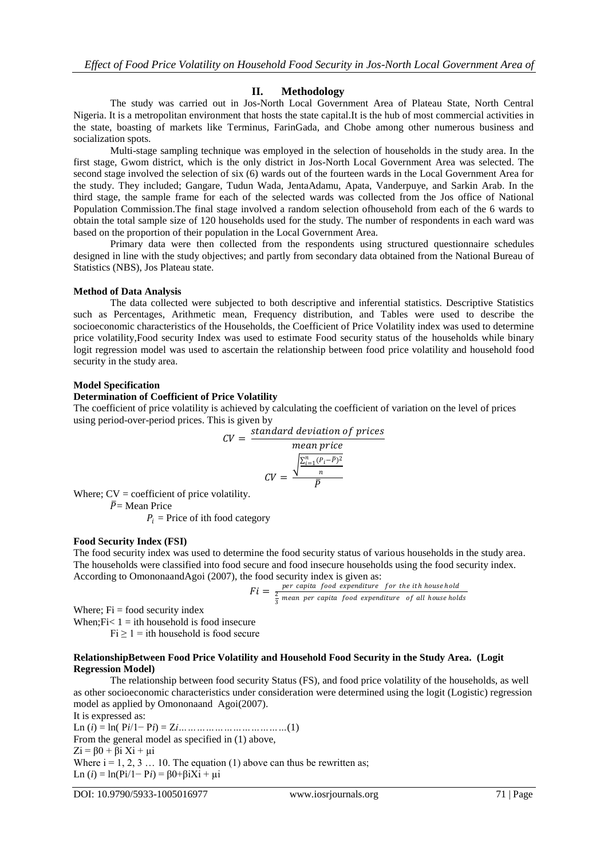# **II. Methodology**

The study was carried out in Jos-North Local Government Area of Plateau State, North Central Nigeria. It is a metropolitan environment that hosts the state capital.It is the hub of most commercial activities in the state, boasting of markets like Terminus, FarinGada, and Chobe among other numerous business and socialization spots.

Multi-stage sampling technique was employed in the selection of households in the study area. In the first stage, Gwom district, which is the only district in Jos-North Local Government Area was selected. The second stage involved the selection of six (6) wards out of the fourteen wards in the Local Government Area for the study. They included; Gangare, Tudun Wada, JentaAdamu, Apata, Vanderpuye, and Sarkin Arab. In the third stage, the sample frame for each of the selected wards was collected from the Jos office of National Population Commission.The final stage involved a random selection ofhousehold from each of the 6 wards to obtain the total sample size of 120 households used for the study. The number of respondents in each ward was based on the proportion of their population in the Local Government Area.

Primary data were then collected from the respondents using structured questionnaire schedules designed in line with the study objectives; and partly from secondary data obtained from the National Bureau of Statistics (NBS), Jos Plateau state.

## **Method of Data Analysis**

The data collected were subjected to both descriptive and inferential statistics. Descriptive Statistics such as Percentages, Arithmetic mean, Frequency distribution, and Tables were used to describe the socioeconomic characteristics of the Households, the Coefficient of Price Volatility index was used to determine price volatility,Food security Index was used to estimate Food security status of the households while binary logit regression model was used to ascertain the relationship between food price volatility and household food security in the study area.

# **Model Specification**

#### **Determination of Coefficient of Price Volatility**

The coefficient of price volatility is achieved by calculating the coefficient of variation on the level of prices using period-over-period prices. This is given by

$$
CV = \frac{standard\;deviation\;of\;prices}{mean\;price}
$$

$$
CV = \frac{\sqrt{\frac{\sum_{i=1}^{n}(P_i - \overline{P})^2}{n}}}{\overline{P}}
$$

Where;  $CV = coefficient of price volatility$ .

 $\overline{P}$  = Mean Price

 $P_i$  = Price of ith food category

## **Food Security Index (FSI)**

The food security index was used to determine the food security status of various households in the study area. The households were classified into food secure and food insecure households using the food security index. According to OmononaandAgoi (2007), the food security index is given as:

$$
Fi = \frac{per\ capita\ food\ expenditure\ for\ the\ ith\ house\ hold}{\frac{2}{3}\ mean\ per\ capita\ food\ expenditure\ of\ all\ house\ holds}
$$

Where;  $Fi = food$  security index

When;  $Fi < 1$  = ith household is food insecure

 $Fi \ge 1$  = ith household is food secure

## **RelationshipBetween Food Price Volatility and Household Food Security in the Study Area. (Logit Regression Model)**

The relationship between food security Status (FS), and food price volatility of the households, as well as other socioeconomic characteristics under consideration were determined using the logit (Logistic) regression model as applied by Omononaand Agoi(2007).

It is expressed as: Ln (*i*) = ln( P*i*/1− P*i*) = Z*i………………………………*(1) From the general model as specified in (1) above, Zi = β0 + βi Xi + μi Where  $i = 1, 2, 3...$  10. The equation (1) above can thus be rewritten as; Ln (*i*) = ln(Pi/1− P*i*) = β0+βiXi + µi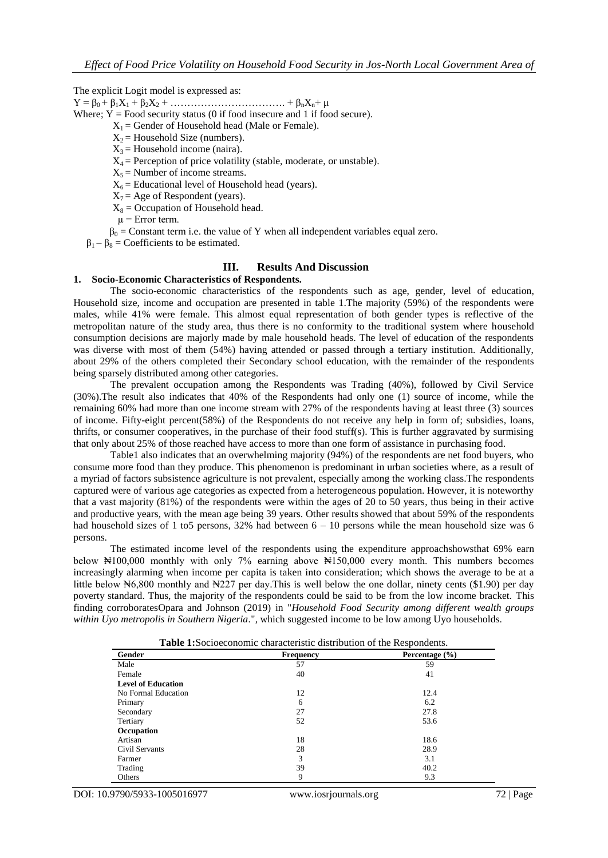The explicit Logit model is expressed as:

 $Y = \beta_0 + \beta_1 X_1 + \beta_2 X_2 + \dots + \beta_n X_n + \mu$ 

Where;  $Y = Food$  security status (0 if food insecure and 1 if food secure).

 $X_1$  = Gender of Household head (Male or Female).

- $X_2$  = Household Size (numbers).
- $X_3$  = Household income (naira).
- $X_4$  = Perception of price volatility (stable, moderate, or unstable).
- $X_5$  = Number of income streams.
- $X_6$  = Educational level of Household head (years).
- $X_7$  = Age of Respondent (years).
- $X_8$  = Occupation of Household head.
- $\mu$  = Error term.
- $\beta_0$  = Constant term i.e. the value of Y when all independent variables equal zero.
- $\beta_1 \beta_8 =$  Coefficients to be estimated.

## **III. Results And Discussion**

#### **1. Socio-Economic Characteristics of Respondents.**

The socio-economic characteristics of the respondents such as age, gender, level of education, Household size, income and occupation are presented in table 1.The majority (59%) of the respondents were males, while 41% were female. This almost equal representation of both gender types is reflective of the metropolitan nature of the study area, thus there is no conformity to the traditional system where household consumption decisions are majorly made by male household heads. The level of education of the respondents was diverse with most of them (54%) having attended or passed through a tertiary institution. Additionally, about 29% of the others completed their Secondary school education, with the remainder of the respondents being sparsely distributed among other categories.

The prevalent occupation among the Respondents was Trading (40%), followed by Civil Service (30%).The result also indicates that 40% of the Respondents had only one (1) source of income, while the remaining 60% had more than one income stream with 27% of the respondents having at least three (3) sources of income. Fifty-eight percent(58%) of the Respondents do not receive any help in form of; subsidies, loans, thrifts, or consumer cooperatives, in the purchase of their food stuff(s). This is further aggravated by surmising that only about 25% of those reached have access to more than one form of assistance in purchasing food.

Table1 also indicates that an overwhelming majority (94%) of the respondents are net food buyers, who consume more food than they produce. This phenomenon is predominant in urban societies where, as a result of a myriad of factors subsistence agriculture is not prevalent, especially among the working class.The respondents captured were of various age categories as expected from a heterogeneous population. However, it is noteworthy that a vast majority (81%) of the respondents were within the ages of 20 to 50 years, thus being in their active and productive years, with the mean age being 39 years. Other results showed that about 59% of the respondents had household sizes of 1 to5 persons,  $32\%$  had between  $6 - 10$  persons while the mean household size was 6 persons.

The estimated income level of the respondents using the expenditure approachshowsthat 69% earn below ₦100,000 monthly with only 7% earning above ₦150,000 every month. This numbers becomes increasingly alarming when income per capita is taken into consideration; which shows the average to be at a little below  $\mathcal{H}_0$ ,800 monthly and  $\mathcal{H}_2$ 27 per day. This is well below the one dollar, ninety cents (\$1.90) per day poverty standard. Thus, the majority of the respondents could be said to be from the low income bracket. This finding corroboratesOpara and Johnson (2019) in "*Household Food Security among different wealth groups within Uyo metropolis in Southern Nigeria.*", which suggested income to be low among Uyo households.

|                           | Table 1:Socioeconomic characteristic distribution of the Respondents. |                    |  |
|---------------------------|-----------------------------------------------------------------------|--------------------|--|
| Gender                    | <b>Frequency</b>                                                      | Percentage $(\% )$ |  |
| Male                      | 57                                                                    | 59                 |  |
| Female                    | 40                                                                    | 41                 |  |
| <b>Level of Education</b> |                                                                       |                    |  |
| No Formal Education       | 12                                                                    | 12.4               |  |
| Primary                   | 6                                                                     | 6.2                |  |
| Secondary                 | 27                                                                    | 27.8               |  |
| Tertiary                  | 52                                                                    | 53.6               |  |
| Occupation                |                                                                       |                    |  |
| Artisan                   | 18                                                                    | 18.6               |  |
| Civil Servants            | 28                                                                    | 28.9               |  |
| Farmer                    | 3                                                                     | 3.1                |  |
| Trading                   | 39                                                                    | 40.2               |  |
| Others                    | 9                                                                     | 9.3                |  |

DOI: 10.9790/5933-1005016977 www.iosrjournals.org 72 | Page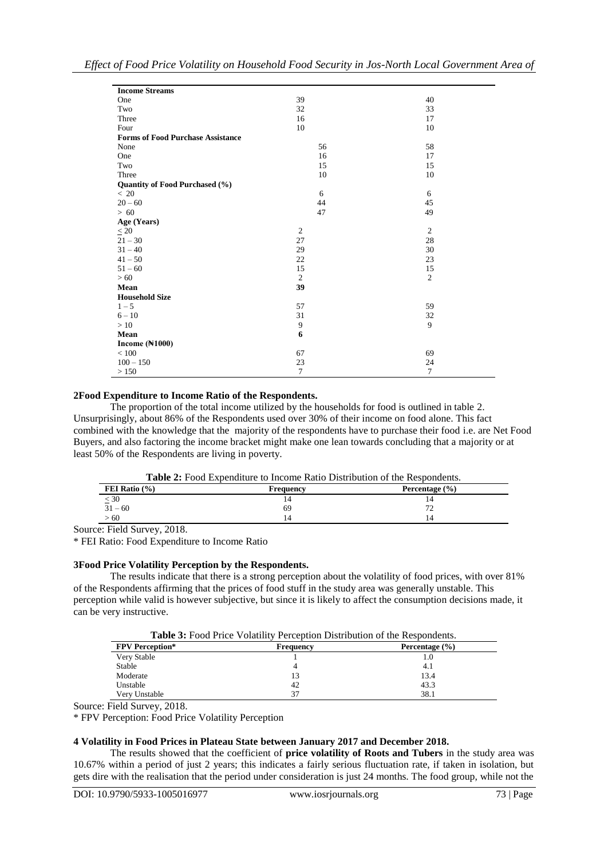| <b>Income Streams</b>                    |                |                |
|------------------------------------------|----------------|----------------|
| One                                      | 39             | 40             |
| Two                                      | 32             | 33             |
| Three                                    | 16             | 17             |
| Four                                     | 10             | 10             |
| <b>Forms of Food Purchase Assistance</b> |                |                |
| None                                     | 56             | 58             |
| One                                      | 16             | 17             |
| Two                                      | 15             | 15             |
| Three                                    | 10             | 10             |
| <b>Quantity of Food Purchased (%)</b>    |                |                |
| < 20                                     | 6              | 6              |
| $20 - 60$                                | 44             | 45             |
| > 60                                     | 47             | 49             |
| Age (Years)                              |                |                |
| < 20                                     | $\overline{c}$ | 2              |
| $21 - 30$                                | 27             | 28             |
| $31 - 40$                                | 29             | 30             |
| $41 - 50$                                | 22             | 23             |
| $51 - 60$                                | 15             | 15             |
| >60                                      | 2              | $\overline{2}$ |
| Mean                                     | 39             |                |
| <b>Household Size</b>                    |                |                |
| $1 - 5$                                  | 57             | 59             |
| $6 - 10$                                 | 31             | 32             |
| >10                                      | 9              | 9              |
| Mean                                     | 6              |                |
| Income $(*1000)$                         |                |                |
| $<100\,$                                 | 67             | 69             |
| $100 - 150$                              | 23             | 24             |
| >150                                     | $\overline{7}$ | $\tau$         |

# **2Food Expenditure to Income Ratio of the Respondents.**

The proportion of the total income utilized by the households for food is outlined in table 2. Unsurprisingly, about 86% of the Respondents used over 30% of their income on food alone. This fact combined with the knowledge that the majority of the respondents have to purchase their food i.e. are Net Food Buyers, and also factoring the income bracket might make one lean towards concluding that a majority or at least 50% of the Respondents are living in poverty.

| FEI Ratio $(\% )$             | Frequency | Percentage (%) |
|-------------------------------|-----------|----------------|
|                               | 14        | 14             |
| $\frac{\leq 30}{31}$<br>$-60$ | 69        | $\mathbf{a}$   |
| - 60                          | 14        |                |

Source: Field Survey, 2018.

\* FEI Ratio: Food Expenditure to Income Ratio

## **3Food Price Volatility Perception by the Respondents.**

The results indicate that there is a strong perception about the volatility of food prices, with over 81% of the Respondents affirming that the prices of food stuff in the study area was generally unstable. This perception while valid is however subjective, but since it is likely to affect the consumption decisions made, it can be very instructive.

| Table 3: Food Price Volatility Perception Distribution of the Respondents. |  |  |  |  |
|----------------------------------------------------------------------------|--|--|--|--|
|----------------------------------------------------------------------------|--|--|--|--|

| <b>FPV Perception*</b> | <b>Frequency</b> | Percentage $(\% )$ |
|------------------------|------------------|--------------------|
| Very Stable            |                  | 1.0                |
| Stable                 |                  | 4.1                |
| Moderate               | 13               | 13.4               |
| Unstable               | 42               | 43.3               |
| Verv Unstable          | 37               | 38.1               |

Source: Field Survey, 2018.

\* FPV Perception: Food Price Volatility Perception

## **4 Volatility in Food Prices in Plateau State between January 2017 and December 2018.**

The results showed that the coefficient of **price volatility of Roots and Tubers** in the study area was 10.67% within a period of just 2 years; this indicates a fairly serious fluctuation rate, if taken in isolation, but gets dire with the realisation that the period under consideration is just 24 months. The food group, while not the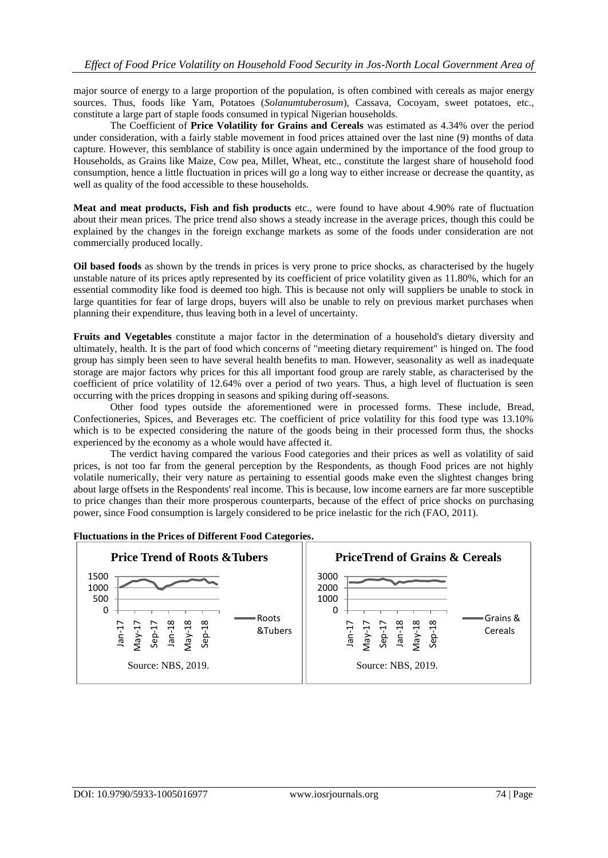major source of energy to a large proportion of the population, is often combined with cereals as major energy sources. Thus, foods like Yam, Potatoes (*Solanumtuberosum*), Cassava, Cocoyam, sweet potatoes, etc., constitute a large part of staple foods consumed in typical Nigerian households.

The Coefficient of **Price Volatility for Grains and Cereals** was estimated as 4.34% over the period under consideration, with a fairly stable movement in food prices attained over the last nine (9) months of data capture. However, this semblance of stability is once again undermined by the importance of the food group to Households, as Grains like Maize, Cow pea, Millet, Wheat, etc., constitute the largest share of household food consumption, hence a little fluctuation in prices will go a long way to either increase or decrease the quantity, as well as quality of the food accessible to these households.

**Meat and meat products, Fish and fish products** etc., were found to have about 4.90% rate of fluctuation about their mean prices. The price trend also shows a steady increase in the average prices, though this could be explained by the changes in the foreign exchange markets as some of the foods under consideration are not commercially produced locally.

**Oil based foods** as shown by the trends in prices is very prone to price shocks, as characterised by the hugely unstable nature of its prices aptly represented by its coefficient of price volatility given as 11.80%, which for an essential commodity like food is deemed too high. This is because not only will suppliers be unable to stock in large quantities for fear of large drops, buyers will also be unable to rely on previous market purchases when planning their expenditure, thus leaving both in a level of uncertainty.

**Fruits and Vegetables** constitute a major factor in the determination of a household's dietary diversity and ultimately, health. It is the part of food which concerns of "meeting dietary requirement" is hinged on. The food group has simply been seen to have several health benefits to man. However, seasonality as well as inadequate storage are major factors why prices for this all important food group are rarely stable, as characterised by the coefficient of price volatility of 12.64% over a period of two years. Thus, a high level of fluctuation is seen occurring with the prices dropping in seasons and spiking during off-seasons.

Other food types outside the aforementioned were in processed forms. These include, Bread, Confectioneries, Spices, and Beverages etc. The coefficient of price volatility for this food type was 13.10% which is to be expected considering the nature of the goods being in their processed form thus, the shocks experienced by the economy as a whole would have affected it.

The verdict having compared the various Food categories and their prices as well as volatility of said prices, is not too far from the general perception by the Respondents, as though Food prices are not highly volatile numerically, their very nature as pertaining to essential goods make even the slightest changes bring about large offsets in the Respondents' real income. This is because, low income earners are far more susceptible to price changes than their more prosperous counterparts, because of the effect of price shocks on purchasing power, since Food consumption is largely considered to be price inelastic for the rich (FAO, 2011).



**Fluctuations in the Prices of Different Food Categories.**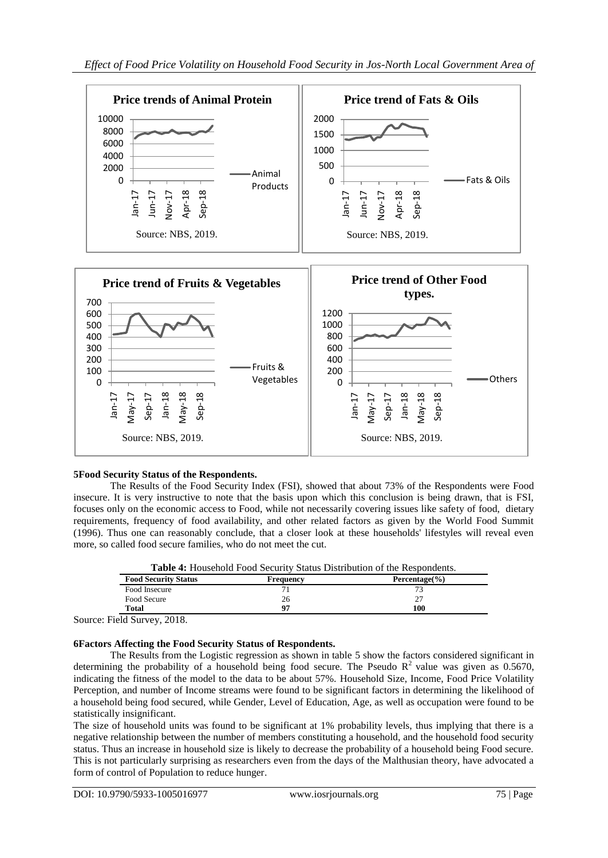

# **5Food Security Status of the Respondents.**

The Results of the Food Security Index (FSI), showed that about 73% of the Respondents were Food insecure. It is very instructive to note that the basis upon which this conclusion is being drawn, that is FSI, focuses only on the economic access to Food, while not necessarily covering issues like safety of food, dietary requirements, frequency of food availability, and other related factors as given by the World Food Summit (1996). Thus one can reasonably conclude, that a closer look at these households' lifestyles will reveal even more, so called food secure families, who do not meet the cut.

| <b>Table 4:</b> Household Food Security Status Distribution of the Respondents. |                  |                    |  |
|---------------------------------------------------------------------------------|------------------|--------------------|--|
| <b>Food Security Status</b>                                                     | <b>Frequency</b> | Percentage $(\% )$ |  |
| Food Insecure                                                                   |                  |                    |  |
| Food Secure                                                                     | 26               |                    |  |

**Total 97 100**

|  | Table 4: Household Food Security Status Distribution of the Respondents. |
|--|--------------------------------------------------------------------------|
|--|--------------------------------------------------------------------------|

Source: Field Survey, 2018.

# **6Factors Affecting the Food Security Status of Respondents.**

The Results from the Logistic regression as shown in table 5 show the factors considered significant in determining the probability of a household being food secure. The Pseudo  $R^2$  value was given as 0.5670, indicating the fitness of the model to the data to be about 57%. Household Size, Income, Food Price Volatility Perception, and number of Income streams were found to be significant factors in determining the likelihood of a household being food secured, while Gender, Level of Education, Age, as well as occupation were found to be statistically insignificant.

The size of household units was found to be significant at 1% probability levels, thus implying that there is a negative relationship between the number of members constituting a household, and the household food security status. Thus an increase in household size is likely to decrease the probability of a household being Food secure. This is not particularly surprising as researchers even from the days of the Malthusian theory, have advocated a form of control of Population to reduce hunger.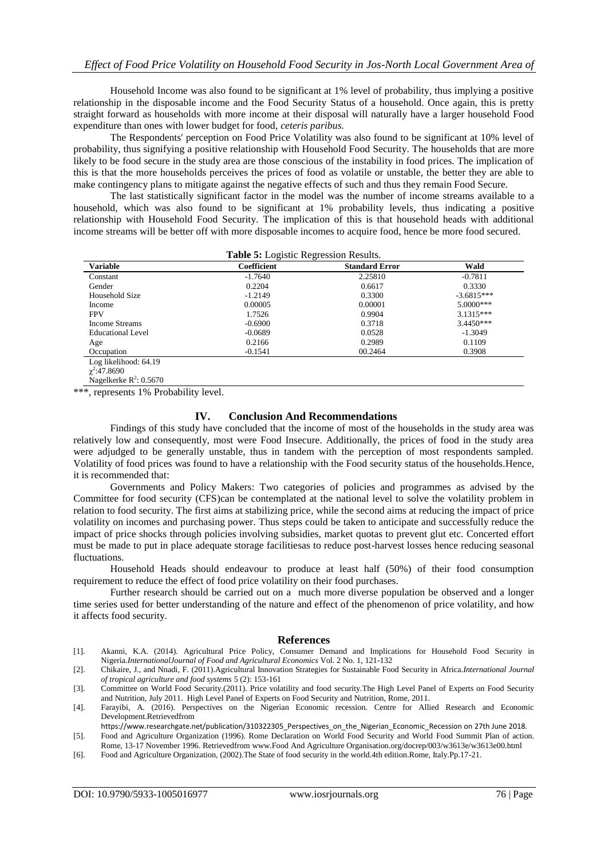Household Income was also found to be significant at 1% level of probability, thus implying a positive relationship in the disposable income and the Food Security Status of a household. Once again, this is pretty straight forward as households with more income at their disposal will naturally have a larger household Food expenditure than ones with lower budget for food, *ceteris paribus.*

The Respondents' perception on Food Price Volatility was also found to be significant at 10% level of probability, thus signifying a positive relationship with Household Food Security. The households that are more likely to be food secure in the study area are those conscious of the instability in food prices. The implication of this is that the more households perceives the prices of food as volatile or unstable, the better they are able to make contingency plans to mitigate against the negative effects of such and thus they remain Food Secure.

The last statistically significant factor in the model was the number of income streams available to a household, which was also found to be significant at 1% probability levels, thus indicating a positive relationship with Household Food Security. The implication of this is that household heads with additional income streams will be better off with more disposable incomes to acquire food, hence be more food secured.

| <b>Table 5:</b> Logistic Regression Results. |                    |                       |              |  |
|----------------------------------------------|--------------------|-----------------------|--------------|--|
| <b>Variable</b>                              | <b>Coefficient</b> | <b>Standard Error</b> | Wald         |  |
| Constant                                     | $-1.7640$          | 2.25810               | $-0.7811$    |  |
| Gender                                       | 0.2204             | 0.6617                | 0.3330       |  |
| Household Size                               | $-1.2149$          | 0.3300                | $-3.6815***$ |  |
| Income                                       | 0.00005            | 0.00001               | $5.0000***$  |  |
| <b>FPV</b>                                   | 1.7526             | 0.9904                | $3.1315***$  |  |
| Income Streams                               | $-0.6900$          | 0.3718                | $3.4450***$  |  |
| Educational Level                            | $-0.0689$          | 0.0528                | $-1.3049$    |  |
| Age                                          | 0.2166             | 0.2989                | 0.1109       |  |
| Occupation                                   | $-0.1541$          | 00.2464               | 0.3908       |  |
| Log likelihood: 64.19                        |                    |                       |              |  |
| $\chi^2$ :47.8690                            |                    |                       |              |  |
| Nagelkerke $R^2$ : 0.5670                    |                    |                       |              |  |

\*\*\*, represents 1% Probability level.

#### **IV. Conclusion And Recommendations**

Findings of this study have concluded that the income of most of the households in the study area was relatively low and consequently, most were Food Insecure. Additionally, the prices of food in the study area were adjudged to be generally unstable, thus in tandem with the perception of most respondents sampled. Volatility of food prices was found to have a relationship with the Food security status of the households.Hence, it is recommended that:

Governments and Policy Makers: Two categories of policies and programmes as advised by the Committee for food security (CFS)can be contemplated at the national level to solve the volatility problem in relation to food security. The first aims at stabilizing price, while the second aims at reducing the impact of price volatility on incomes and purchasing power. Thus steps could be taken to anticipate and successfully reduce the impact of price shocks through policies involving subsidies, market quotas to prevent glut etc. Concerted effort must be made to put in place adequate storage facilitiesas to reduce post-harvest losses hence reducing seasonal fluctuations.

Household Heads should endeavour to produce at least half (50%) of their food consumption requirement to reduce the effect of food price volatility on their food purchases.

Further research should be carried out on a much more diverse population be observed and a longer time series used for better understanding of the nature and effect of the phenomenon of price volatility, and how it affects food security.

#### **References**

- [1]. Akanni, K.A. (2014). Agricultural Price Policy, Consumer Demand and Implications for Household Food Security in Nigeria.*InternationalJournal of Food and Agricultural Economics* Vol. 2 No. 1, 121-132
- [2]. Chikaire, J., and Nnadi, F. (2011).Agricultural Innovation Strategies for Sustainable Food Security in Africa.*International Journal of tropical agriculture and food systems* 5 (2): 153-161
- [3]. Committee on World Food Security.(2011). Price volatility and food security.The High Level Panel of Experts on Food Security and Nutrition, July 2011. High Level Panel of Experts on Food Security and Nutrition, Rome, 2011.
- [4]. Farayibi, A. (2016). Perspectives on the Nigerian Economic recession. Centre for Allied Research and Economic Development.Retrievedfrom
- [https://www.researchgate.net/publication/310322305\\_Perspectives\\_on\\_the\\_Nigerian\\_Economic\\_Recession](https://www.researchgate.net/publication/310322305_Perspectives_on_the_Nigerian_Economic_Recession) on 27th June 2018. [5]. Food and Agriculture Organization (1996). Rome Declaration on World Food Security and World Food Summit Plan of action.
- Rome, 13-17 November 1996. Retrievedfrom www.Food And Agriculture Organisation.org/docrep/003/w3613e/w3613e00.html
- [6]. Food and Agriculture Organization, (2002).The State of food security in the world.4th edition.Rome, Italy.Pp.17-21.